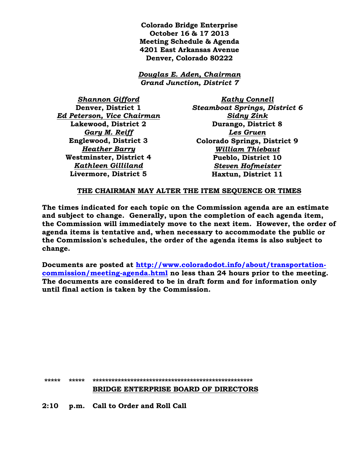**Colorado Bridge Enterprise October 16 & 17 2013 Meeting Schedule & Agenda 4201 East Arkansas Avenue Denver, Colorado 80222**

*Douglas E. Aden, Chairman Grand Junction, District 7*

*Shannon Gifford* **Denver, District 1** *Ed Peterson, Vice Chairman* **Lakewood, District 2** *Gary M. Reiff* **Englewood, District 3** *Heather Barry* **Westminster, District 4** *Kathleen Gilliland* **Livermore, District 5**

*Kathy Connell Steamboat Springs, District 6 Sidny Zink* **Durango, District 8** *Les Gruen* **Colorado Springs, District 9** *William Thiebaut* **Pueblo, District 10** *Steven Hofmeister* **Haxtun, District 11**

## **THE CHAIRMAN MAY ALTER THE ITEM SEQUENCE OR TIMES**

**The times indicated for each topic on the Commission agenda are an estimate and subject to change. Generally, upon the completion of each agenda item, the Commission will immediately move to the next item. However, the order of agenda items is tentative and, when necessary to accommodate the public or the Commission's schedules, the order of the agenda items is also subject to change.**

**Documents are posted at [http://www.coloradodot.info/about/transportation](http://www.coloradodot.info/about/transportation-commission/meeting-agenda.html)[commission/meeting-agenda.html](http://www.coloradodot.info/about/transportation-commission/meeting-agenda.html) no less than 24 hours prior to the meeting. The documents are considered to be in draft form and for information only until final action is taken by the Commission.**

**\*\*\*\*\* \*\*\*\*\* \*\*\*\*\*\*\*\*\*\*\*\*\*\*\*\*\*\*\*\*\*\*\*\*\*\*\*\*\*\*\*\*\*\*\*\*\*\*\*\*\*\*\*\*\*\*\*\*\*\*\***

## **BRIDGE ENTERPRISE BOARD OF DIRECTORS**

**2:10 p.m. Call to Order and Roll Call**